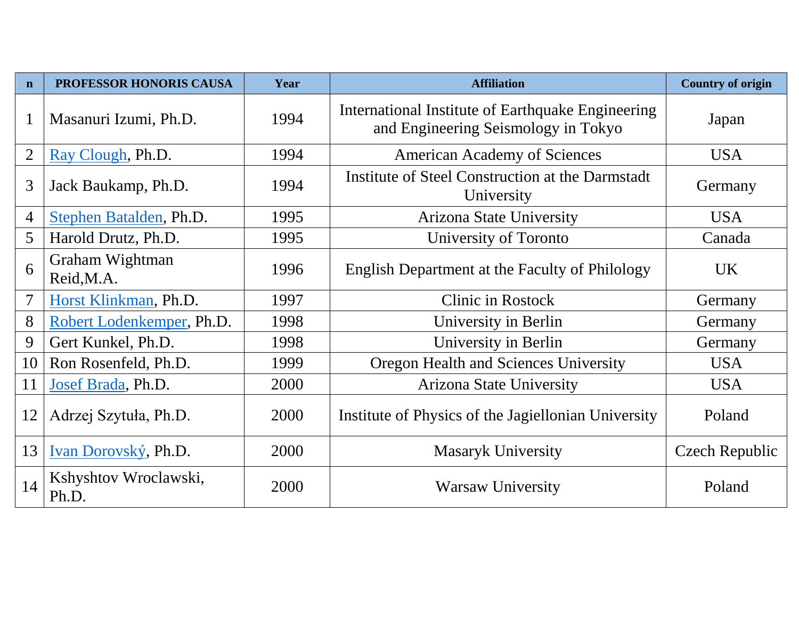| $\mathbf n$    | PROFESSOR HONORIS CAUSA        | Year | <b>Affiliation</b>                                                                       | <b>Country of origin</b> |
|----------------|--------------------------------|------|------------------------------------------------------------------------------------------|--------------------------|
| $\mathbf{1}$   | Masanuri Izumi, Ph.D.          | 1994 | International Institute of Earthquake Engineering<br>and Engineering Seismology in Tokyo | Japan                    |
| $\overline{2}$ | Ray Clough, Ph.D.              | 1994 | <b>American Academy of Sciences</b>                                                      | <b>USA</b>               |
| 3              | Jack Baukamp, Ph.D.            | 1994 | Institute of Steel Construction at the Darmstadt<br>University                           | Germany                  |
| $\overline{4}$ | Stephen Batalden, Ph.D.        | 1995 | <b>Arizona State University</b>                                                          | <b>USA</b>               |
| 5              | Harold Drutz, Ph.D.            | 1995 | University of Toronto                                                                    | Canada                   |
| 6              | Graham Wightman<br>Reid, M.A.  | 1996 | English Department at the Faculty of Philology                                           | UK.                      |
| $\overline{7}$ | Horst Klinkman, Ph.D.          | 1997 | Clinic in Rostock                                                                        | Germany                  |
| 8              | Robert Lodenkemper, Ph.D.      | 1998 | University in Berlin                                                                     | Germany                  |
| 9              | Gert Kunkel, Ph.D.             | 1998 | University in Berlin                                                                     | Germany                  |
| 10             | Ron Rosenfeld, Ph.D.           | 1999 | Oregon Health and Sciences University                                                    | <b>USA</b>               |
| 11             | Josef Brada, Ph.D.             | 2000 | Arizona State University                                                                 | <b>USA</b>               |
| 12             | Adrzej Szytuła, Ph.D.          | 2000 | Institute of Physics of the Jagiellonian University                                      | Poland                   |
| 13             | Ivan Dorovský, Ph.D.           | 2000 | <b>Masaryk University</b>                                                                | <b>Czech Republic</b>    |
| 14             | Kshyshtov Wroclawski,<br>Ph.D. | 2000 | <b>Warsaw University</b>                                                                 | Poland                   |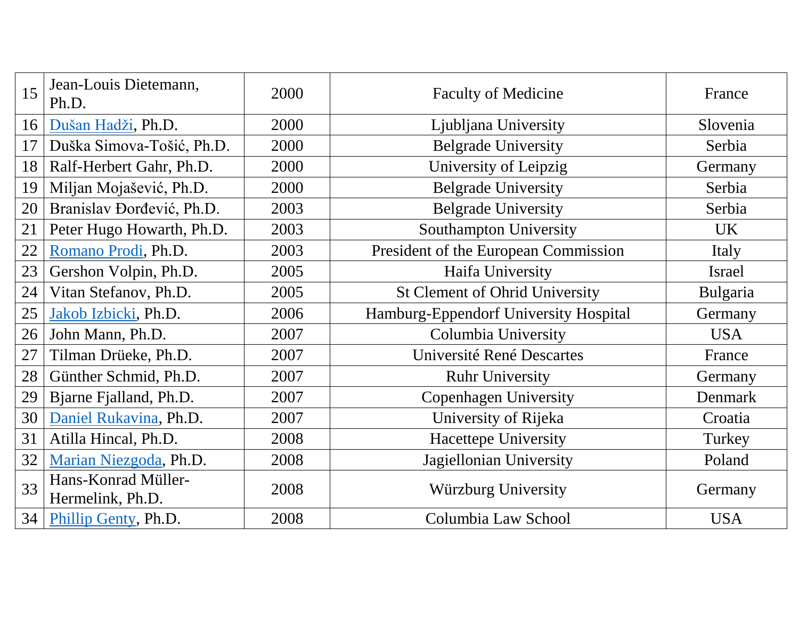| 15 | Jean-Louis Dietemann,<br>Ph.D.          | 2000 | <b>Faculty of Medicine</b>            | France     |
|----|-----------------------------------------|------|---------------------------------------|------------|
| 16 | Dušan Hadži, Ph.D.                      | 2000 | Ljubljana University                  | Slovenia   |
| 17 | Duška Simova-Tošić, Ph.D.               | 2000 | <b>Belgrade University</b>            | Serbia     |
| 18 | Ralf-Herbert Gahr, Ph.D.                | 2000 | University of Leipzig                 | Germany    |
| 19 | Miljan Mojašević, Ph.D.                 | 2000 | <b>Belgrade University</b>            | Serbia     |
| 20 | Branislav Đorđević, Ph.D.               | 2003 | <b>Belgrade University</b>            | Serbia     |
| 21 | Peter Hugo Howarth, Ph.D.               | 2003 | Southampton University                | <b>UK</b>  |
| 22 | Romano Prodi, Ph.D.                     | 2003 | President of the European Commission  | Italy      |
| 23 | Gershon Volpin, Ph.D.                   | 2005 | Haifa University                      | Israel     |
| 24 | Vitan Stefanov, Ph.D.                   | 2005 | <b>St Clement of Ohrid University</b> | Bulgaria   |
| 25 | Jakob Izbicki, Ph.D.                    | 2006 | Hamburg-Eppendorf University Hospital | Germany    |
| 26 | John Mann, Ph.D.                        | 2007 | Columbia University                   | <b>USA</b> |
| 27 | Tilman Drüeke, Ph.D.                    | 2007 | Université René Descartes             | France     |
| 28 | Günther Schmid, Ph.D.                   | 2007 | <b>Ruhr University</b>                | Germany    |
| 29 | Bjarne Fjalland, Ph.D.                  | 2007 | <b>Copenhagen University</b>          | Denmark    |
| 30 | Daniel Rukavina, Ph.D.                  | 2007 | University of Rijeka                  | Croatia    |
| 31 | Atilla Hincal, Ph.D.                    | 2008 | Hacettepe University                  | Turkey     |
| 32 | Marian Niezgoda, Ph.D.                  | 2008 | Jagiellonian University               | Poland     |
| 33 | Hans-Konrad Müller-<br>Hermelink, Ph.D. | 2008 | Würzburg University                   | Germany    |
| 34 | Phillip Genty, Ph.D.                    | 2008 | Columbia Law School                   | <b>USA</b> |